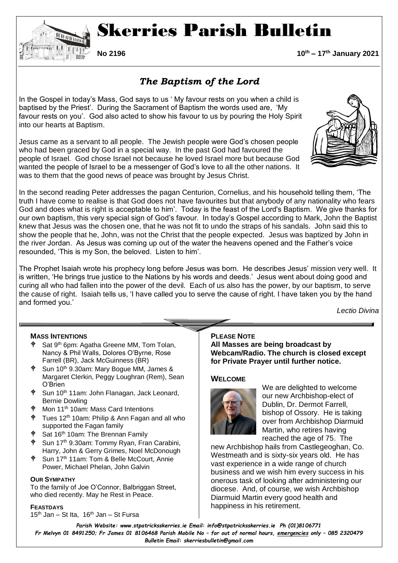

# Skerries Parish Bulletin

**No 2196 10th – 17th January 2021**

# *The Baptism of the Lord*

In the Gospel in today's Mass, God says to us ' My favour rests on you when a child is baptised by the Priest'. During the Sacrament of Baptism the words used are, 'My favour rests on you'. God also acted to show his favour to us by pouring the Holy Spirit into our hearts at Baptism.

Jesus came as a servant to all people. The Jewish people were God's chosen people who had been graced by God in a special way. In the past God had favoured the people of Israel. God chose Israel not because he loved Israel more but because God wanted the people of Israel to be a messenger of God's love to all the other nations. It was to them that the good news of peace was brought by Jesus Christ.

In the second reading Peter addresses the pagan Centurion, Cornelius, and his household telling them, 'The truth I have come to realise is that God does not have favourites but that anybody of any nationality who fears God and does what is right is acceptable to him'. Today is the feast of the Lord's Baptism. We give thanks for our own baptism, this very special sign of God's favour. In today's Gospel according to Mark, John the Baptist knew that Jesus was the chosen one, that he was not fit to undo the straps of his sandals. John said this to show the people that he, John, was not the Christ that the people expected. Jesus was baptized by John in the river Jordan. As Jesus was coming up out of the water the heavens opened and the Father's voice resounded, 'This is my Son, the beloved. Listen to him'.

The Prophet Isaiah wrote his prophecy long before Jesus was born. He describes Jesus' mission very well. It is written, 'He brings true justice to the Nations by his words and deeds.' Jesus went about doing good and curing all who had fallen into the power of the devil. Each of us also has the power, by our baptism, to serve the cause of right. Isaiah tells us, 'I have called you to serve the cause of right. I have taken you by the hand and formed you.'

*Lectio Divina*

#### **MASS INTENTIONS**

- $\phi$  Sat 9<sup>th</sup> 6pm: Agatha Greene MM, Tom Tolan, Nancy & Phil Walls, Dolores O'Byrne, Rose Farrell (BR), Jack McGuinness (BR)
- $\phi$  Sun 10<sup>th</sup> 9.30am: Mary Bogue MM, James & Margaret Clerkin, Peggy Loughran (Rem), Sean O'Brien
- Sun 10<sup>th</sup> 11am: John Flanagan, Jack Leonard, Bernie Dowling
- Mon 11<sup>th</sup> 10am: Mass Card Intentions
- Tues 12<sup>th</sup> 10am: Philip & Ann Fagan and all who supported the Fagan family
- Sat 16<sup>th</sup> 10am: The Brennan Family
- Sun 17th 9.30am: Tommy Ryan, Fran Carabini, Harry, John & Gerry Grimes, Noel McDonough
- Sun 17<sup>th</sup> 11am: Tom & Belle McCourt, Annie Power, Michael Phelan, John Galvin

#### **OUR SYMPATHY**

To the family of Joe O'Connor, Balbriggan Street, who died recently. May he Rest in Peace.

#### **FEASTDAYS**

 $15<sup>th</sup>$  Jan – St Ita,  $16<sup>th</sup>$  Jan – St Fursa

#### **PLEASE NOTE All Masses are being broadcast by**

**Webcam/Radio. The church is closed except for Private Prayer until further notice.** 

#### **WELCOME**



We are delighted to welcome our new Archbishop-elect of Dublin, Dr. Dermot Farrell, bishop of Ossory. He is taking over from Archbishop Diarmuid Martin, who retires having reached the age of 75. The

new Archbishop hails from Castlegeoghan, Co. Westmeath and is sixty-six years old. He has vast experience in a wide range of church business and we wish him every success in his onerous task of looking after administering our diocese. And, of course, we wish Archbishop Diarmuid Martin every good health and happiness in his retirement.

*Parish Website: www[.stpatricksskerries.ie](mailto:stpatricksskerries.ie) Email: [info@stpatricksskerries.ie](mailto:info@stpatricksskerries.ie) Ph (01)8106771 Fr Melvyn 01 8491250; Fr James 01 8106468 Parish Mobile No – for out of normal hours, emergencies only – 085 2320479 Bulletin Email: skerriesbulletin@gmail.com*